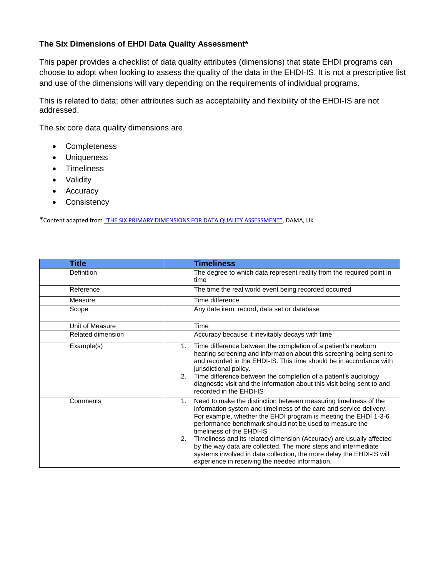## **The Six Dimensions of EHDI Data Quality Assessment\***

This paper provides a checklist of data quality attributes (dimensions) that state EHDI programs can choose to adopt when looking to assess the quality of the data in the EHDI-IS. It is not a prescriptive list and use of the dimensions will vary depending on the requirements of individual programs.

This is related to data; other attributes such as acceptability and flexibility of the EHDI-IS are not addressed.

The six core data quality dimensions are

- Completeness
- Uniqueness
- Timeliness
- Validity
- Accuracy
- Consistency

\*Content adapted from ["THE SIX PRIMARY DIMENSIONS FOR DATA QUALITY ASSESSMENT"](http://www.google.com/url?sa=t&rct=j&q=&esrc=s&frm=1&source=web&cd=2&cad=rja&uact=8&ved=0CCMQFjAB&url=http%3A%2F%2Fwww.damauk.org%2FRWFilePub.php%3F%26cat%3D403%26dx%3D2%26ob%3D3%26rpn%3Dcatviewleafpublic403%26id%3D106193&ei=tvRAVZvZHJDAgwSF8IGwBg&usg=AFQjCNErJKCVwWSfMcxqXQz0NyJfrCH8kw&bvm=bv.91665533,d.eXY), DAMA, UK

| <b>Title</b>      | <b>Timeliness</b>                                                                                                                                                                                                                                                                                                                                                                                                                                                                                                                                                                   |
|-------------------|-------------------------------------------------------------------------------------------------------------------------------------------------------------------------------------------------------------------------------------------------------------------------------------------------------------------------------------------------------------------------------------------------------------------------------------------------------------------------------------------------------------------------------------------------------------------------------------|
| Definition        | The degree to which data represent reality from the required point in<br>time                                                                                                                                                                                                                                                                                                                                                                                                                                                                                                       |
| Reference         | The time the real world event being recorded occurred                                                                                                                                                                                                                                                                                                                                                                                                                                                                                                                               |
| Measure           | Time difference                                                                                                                                                                                                                                                                                                                                                                                                                                                                                                                                                                     |
| Scope             | Any date item, record, data set or database                                                                                                                                                                                                                                                                                                                                                                                                                                                                                                                                         |
| Unit of Measure   | Time                                                                                                                                                                                                                                                                                                                                                                                                                                                                                                                                                                                |
| Related dimension | Accuracy because it inevitably decays with time                                                                                                                                                                                                                                                                                                                                                                                                                                                                                                                                     |
| Example(s)        | Time difference between the completion of a patient's newborn<br>1.<br>hearing screening and information about this screening being sent to<br>and recorded in the EHDI-IS. This time should be in accordance with<br>jurisdictional policy.<br>Time difference between the completion of a patient's audiology<br>2.<br>diagnostic visit and the information about this visit being sent to and<br>recorded in the EHDI-IS                                                                                                                                                         |
| Comments          | Need to make the distinction between measuring timeliness of the<br>1.<br>information system and timeliness of the care and service delivery.<br>For example, whether the EHDI program is meeting the EHDI 1-3-6<br>performance benchmark should not be used to measure the<br>timeliness of the EHDI-IS<br>Timeliness and its related dimension (Accuracy) are usually affected<br>2.<br>by the way data are collected. The more steps and intermediate<br>systems involved in data collection, the more delay the EHDI-IS will<br>experience in receiving the needed information. |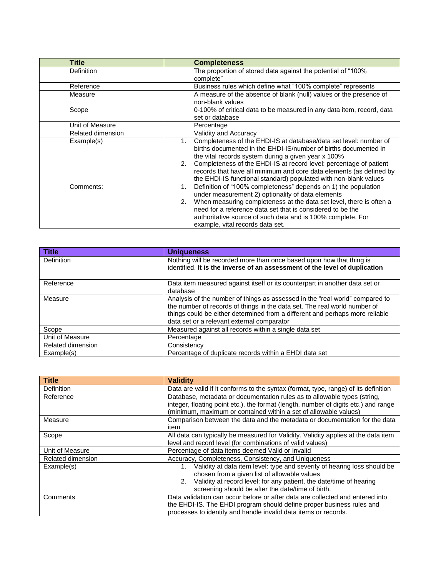| Title             | <b>Completeness</b>                                                                                                                                                                                                                                                           |
|-------------------|-------------------------------------------------------------------------------------------------------------------------------------------------------------------------------------------------------------------------------------------------------------------------------|
| <b>Definition</b> | The proportion of stored data against the potential of "100%<br>complete"                                                                                                                                                                                                     |
| Reference         | Business rules which define what "100% complete" represents                                                                                                                                                                                                                   |
| Measure           | A measure of the absence of blank (null) values or the presence of<br>non-blank values                                                                                                                                                                                        |
| Scope             | 0-100% of critical data to be measured in any data item, record, data<br>set or database                                                                                                                                                                                      |
| Unit of Measure   | Percentage                                                                                                                                                                                                                                                                    |
| Related dimension | <b>Validity and Accuracy</b>                                                                                                                                                                                                                                                  |
| Example(s)        | Completeness of the EHDI-IS at database/data set level: number of<br>1.<br>births documented in the EHDI-IS/number of births documented in<br>the vital records system during a given year x 100%<br>Completeness of the EHDI-IS at record level: percentage of patient<br>2. |
|                   | records that have all minimum and core data elements (as defined by<br>the EHDI-IS functional standard) populated with non-blank values                                                                                                                                       |
| Comments:         | Definition of "100% completeness" depends on 1) the population<br>1.<br>under measurement 2) optionality of data elements                                                                                                                                                     |
|                   | When measuring completeness at the data set level, there is often a<br>2.<br>need for a reference data set that is considered to be the<br>authoritative source of such data and is 100% complete. For<br>example, vital records data set.                                    |

| <b>Title</b>      | <b>Uniqueness</b>                                                                                                                                                                                                                                                                       |
|-------------------|-----------------------------------------------------------------------------------------------------------------------------------------------------------------------------------------------------------------------------------------------------------------------------------------|
| <b>Definition</b> | Nothing will be recorded more than once based upon how that thing is<br>identified. It is the inverse of an assessment of the level of duplication                                                                                                                                      |
| Reference         | Data item measured against itself or its counterpart in another data set or<br>database                                                                                                                                                                                                 |
| Measure           | Analysis of the number of things as assessed in the "real world" compared to<br>the number of records of things in the data set. The real world number of<br>things could be either determined from a different and perhaps more reliable<br>data set or a relevant external comparator |
| Scope             | Measured against all records within a single data set                                                                                                                                                                                                                                   |
| Unit of Measure   | Percentage                                                                                                                                                                                                                                                                              |
| Related dimension | Consistency                                                                                                                                                                                                                                                                             |
| Example(s)        | Percentage of duplicate records within a EHDI data set                                                                                                                                                                                                                                  |

| <b>Title</b>      | <b>Validity</b>                                                                                                                                         |
|-------------------|---------------------------------------------------------------------------------------------------------------------------------------------------------|
| <b>Definition</b> | Data are valid if it conforms to the syntax (format, type, range) of its definition                                                                     |
| Reference         | Database, metadata or documentation rules as to allowable types (string,                                                                                |
|                   | integer, floating point etc.), the format (length, number of digits etc.) and range<br>(minimum, maximum or contained within a set of allowable values) |
| Measure           | Comparison between the data and the metadata or documentation for the data<br>item                                                                      |
| Scope             | All data can typically be measured for Validity. Validity applies at the data item                                                                      |
|                   | level and record level (for combinations of valid values)                                                                                               |
| Unit of Measure   | Percentage of data items deemed Valid or Invalid                                                                                                        |
| Related dimension | Accuracy, Completeness, Consistency, and Uniqueness                                                                                                     |
| Example(s)        | Validity at data item level: type and severity of hearing loss should be                                                                                |
|                   | chosen from a given list of allowable values                                                                                                            |
|                   | Validity at record level: for any patient, the date/time of hearing<br>2.                                                                               |
|                   | screening should be after the date/time of birth.                                                                                                       |
| Comments          | Data validation can occur before or after data are collected and entered into                                                                           |
|                   | the EHDI-IS. The EHDI program should define proper business rules and                                                                                   |
|                   | processes to identify and handle invalid data items or records.                                                                                         |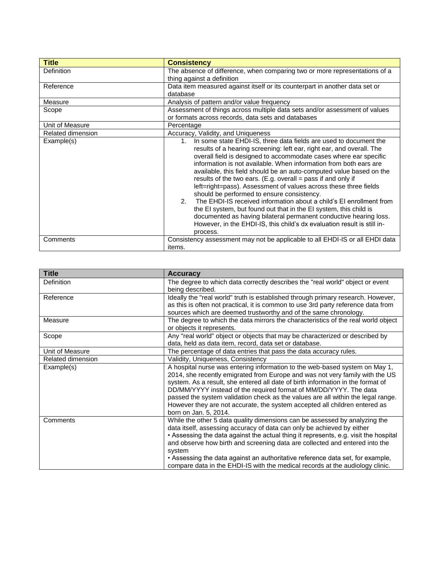| <b>Title</b>      | <b>Consistency</b>                                                                                                                                                                                                                                                                                                                                                                                                                                                                                                                                                                                                                                                                                                                                                                                                                                                          |
|-------------------|-----------------------------------------------------------------------------------------------------------------------------------------------------------------------------------------------------------------------------------------------------------------------------------------------------------------------------------------------------------------------------------------------------------------------------------------------------------------------------------------------------------------------------------------------------------------------------------------------------------------------------------------------------------------------------------------------------------------------------------------------------------------------------------------------------------------------------------------------------------------------------|
| Definition        | The absence of difference, when comparing two or more representations of a                                                                                                                                                                                                                                                                                                                                                                                                                                                                                                                                                                                                                                                                                                                                                                                                  |
|                   | thing against a definition                                                                                                                                                                                                                                                                                                                                                                                                                                                                                                                                                                                                                                                                                                                                                                                                                                                  |
| Reference         | Data item measured against itself or its counterpart in another data set or                                                                                                                                                                                                                                                                                                                                                                                                                                                                                                                                                                                                                                                                                                                                                                                                 |
|                   | database                                                                                                                                                                                                                                                                                                                                                                                                                                                                                                                                                                                                                                                                                                                                                                                                                                                                    |
| Measure           | Analysis of pattern and/or value frequency                                                                                                                                                                                                                                                                                                                                                                                                                                                                                                                                                                                                                                                                                                                                                                                                                                  |
| Scope             | Assessment of things across multiple data sets and/or assessment of values                                                                                                                                                                                                                                                                                                                                                                                                                                                                                                                                                                                                                                                                                                                                                                                                  |
|                   | or formats across records, data sets and databases                                                                                                                                                                                                                                                                                                                                                                                                                                                                                                                                                                                                                                                                                                                                                                                                                          |
| Unit of Measure   | Percentage                                                                                                                                                                                                                                                                                                                                                                                                                                                                                                                                                                                                                                                                                                                                                                                                                                                                  |
| Related dimension | Accuracy, Validity, and Uniqueness                                                                                                                                                                                                                                                                                                                                                                                                                                                                                                                                                                                                                                                                                                                                                                                                                                          |
| Example(s)        | In some state EHDI-IS, three data fields are used to document the<br>$1_{-}$<br>results of a hearing screening: left ear, right ear, and overall. The<br>overall field is designed to accommodate cases where ear specific<br>information is not available. When information from both ears are<br>available, this field should be an auto-computed value based on the<br>results of the two ears. (E.g. overall = pass if and only if<br>left=right=pass). Assessment of values across these three fields<br>should be performed to ensure consistency.<br>The EHDI-IS received information about a child's EI enrollment from<br>$2^{2}$<br>the EI system, but found out that in the EI system, this child is<br>documented as having bilateral permanent conductive hearing loss.<br>However, in the EHDI-IS, this child's dx evaluation result is still in-<br>process. |
| Comments          | Consistency assessment may not be applicable to all EHDI-IS or all EHDI data<br>items.                                                                                                                                                                                                                                                                                                                                                                                                                                                                                                                                                                                                                                                                                                                                                                                      |

| <b>Title</b>      | <b>Accuracy</b>                                                                                   |
|-------------------|---------------------------------------------------------------------------------------------------|
| <b>Definition</b> | The degree to which data correctly describes the "real world" object or event<br>being described. |
| Reference         | Ideally the "real world" truth is established through primary research. However,                  |
|                   | as this is often not practical, it is common to use 3rd party reference data from                 |
|                   | sources which are deemed trustworthy and of the same chronology.                                  |
| Measure           | The degree to which the data mirrors the characteristics of the real world object                 |
|                   | or objects it represents.                                                                         |
| Scope             | Any "real world" object or objects that may be characterized or described by                      |
|                   | data, held as data item, record, data set or database.                                            |
| Unit of Measure   | The percentage of data entries that pass the data accuracy rules.                                 |
| Related dimension | Validity, Uniqueness, Consistency                                                                 |
| Example(s)        | A hospital nurse was entering information to the web-based system on May 1,                       |
|                   | 2014, she recently emigrated from Europe and was not very family with the US                      |
|                   | system. As a result, she entered all date of birth information in the format of                   |
|                   | DD/MM/YYYY instead of the required format of MM/DD/YYYY. The data                                 |
|                   | passed the system validation check as the values are all within the legal range.                  |
|                   | However they are not accurate, the system accepted all children entered as                        |
|                   | born on Jan. 5, 2014.                                                                             |
| Comments          | While the other 5 data quality dimensions can be assessed by analyzing the                        |
|                   | data itself, assessing accuracy of data can only be achieved by either                            |
|                   | • Assessing the data against the actual thing it represents, e.g. visit the hospital              |
|                   | and observe how birth and screening data are collected and entered into the                       |
|                   | system                                                                                            |
|                   | • Assessing the data against an authoritative reference data set, for example,                    |
|                   | compare data in the EHDI-IS with the medical records at the audiology clinic.                     |